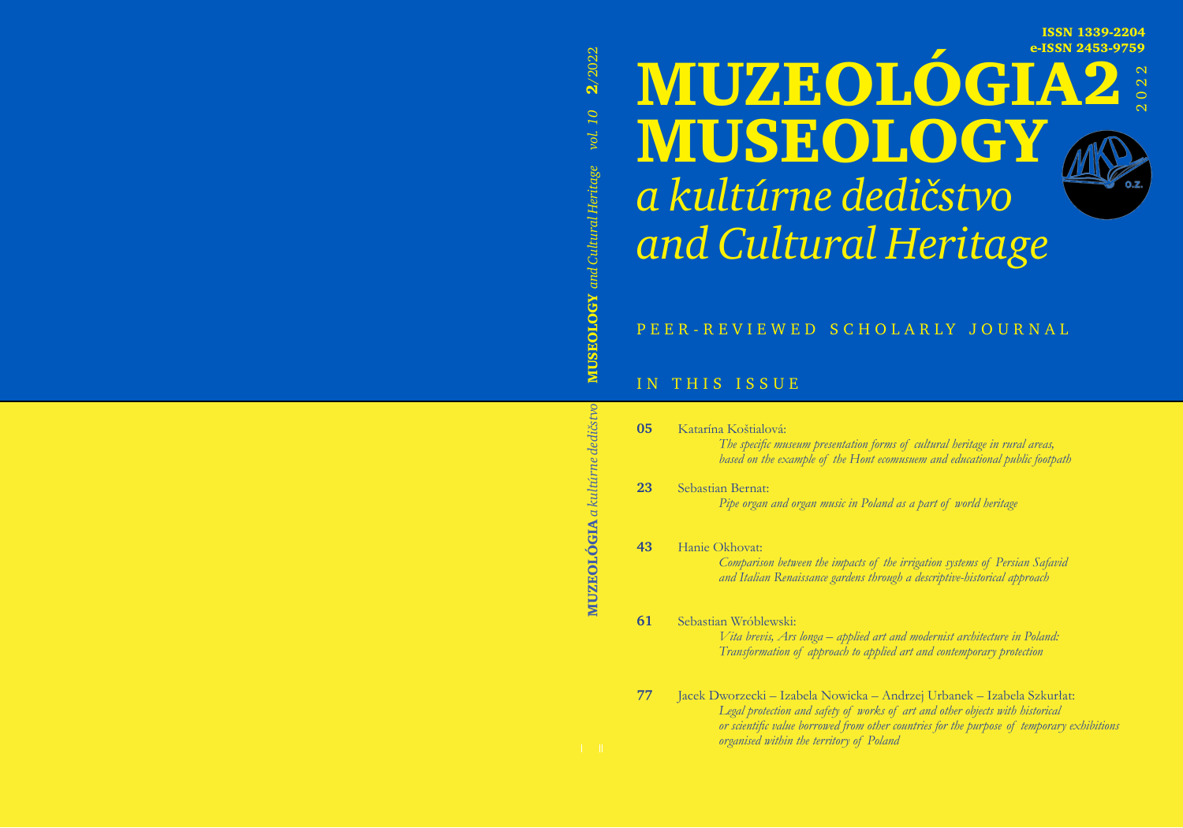**ISSN 1339-2204 e-ISSN 2453-9759**

**2**

2022

# **MUzeológia** *a kultúrne dedičstvo* **MUseology** *and Cultural Heritage*



### IN THIS ISSUE

| 05 | Katarína Koštialová:<br>The specific museum presentation forms of cultural heritage in rural areas,<br>based on the example of the Hont ecomusuem and educational public footpath                                                                                                                  |
|----|----------------------------------------------------------------------------------------------------------------------------------------------------------------------------------------------------------------------------------------------------------------------------------------------------|
| 23 | Sebastian Bernat:<br>Pipe organ and organ music in Poland as a part of world heritage                                                                                                                                                                                                              |
| 43 | Hanie Okhovat:<br>Comparison between the impacts of the irrigation systems of Persian Safavid<br>and Italian Renaissance gardens through a descriptive-historical approach                                                                                                                         |
| 61 | Sebastian Wróblewski:<br>Vita brevis, Ars longa – applied art and modernist architecture in Poland:<br>Transformation of approach to applied art and contemporary protection                                                                                                                       |
| 77 | Jacek Dworzecki – Izabela Nowicka – Andrzej Urbanek – Izabela Szkurłat:<br>Legal protection and safety of works of art and other objects with historical<br>or scientific value borrowed from other countries for the purpose of temporary exhibitions<br>organised within the territory of Poland |

**seology** *and Cultural Heritage vol. 10*  **MUSEOLOGY** and Cultural Heritage vol. 10 **MUzeológia** *a kultúrne dedičstvo* **MU**

**2**/2022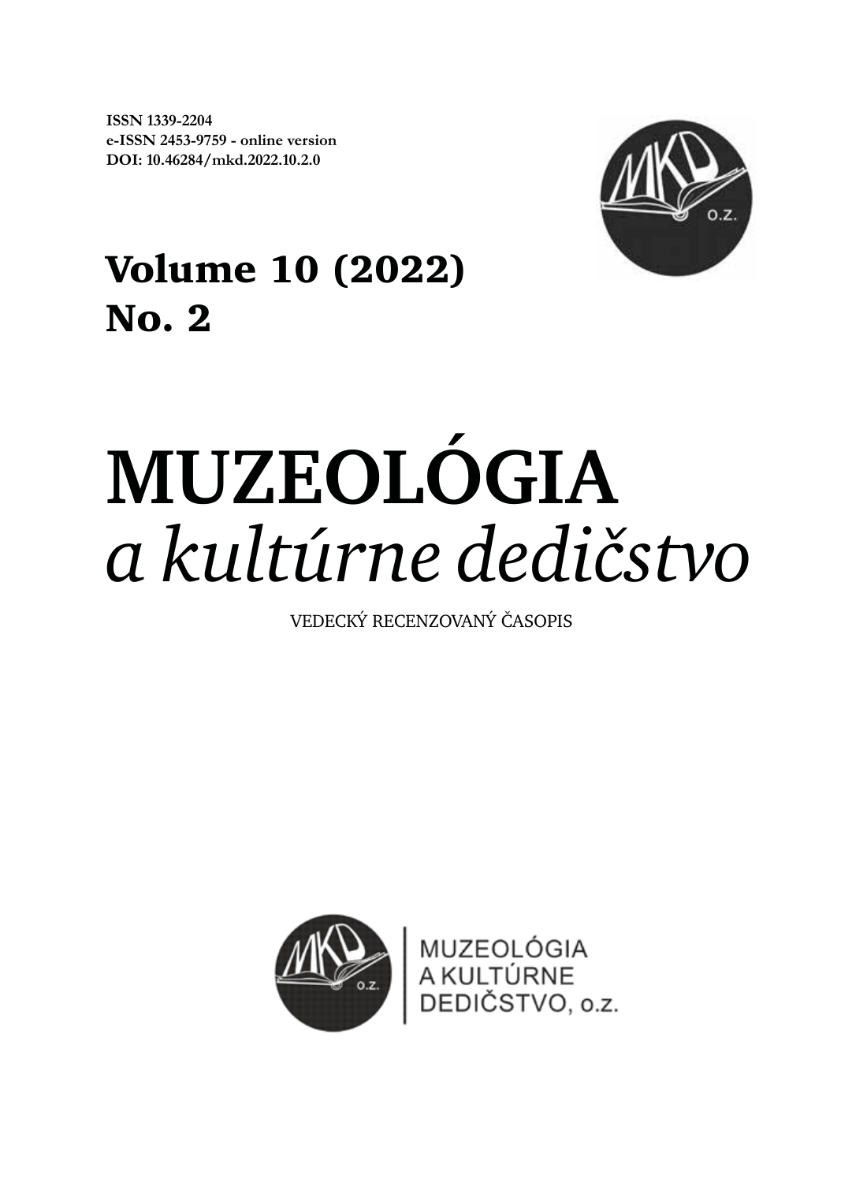**ISSN 1339-2204 e-ISSN 2453-9759 - online version doi: 10.46284/mkd.2022.10.2.0**



# **Volume 10 (2022) No. 2**

# **MUzeológia** *a kultúrne dedičstvo*

VEDECKÝ RECENZOVANÝ ČASOPIS

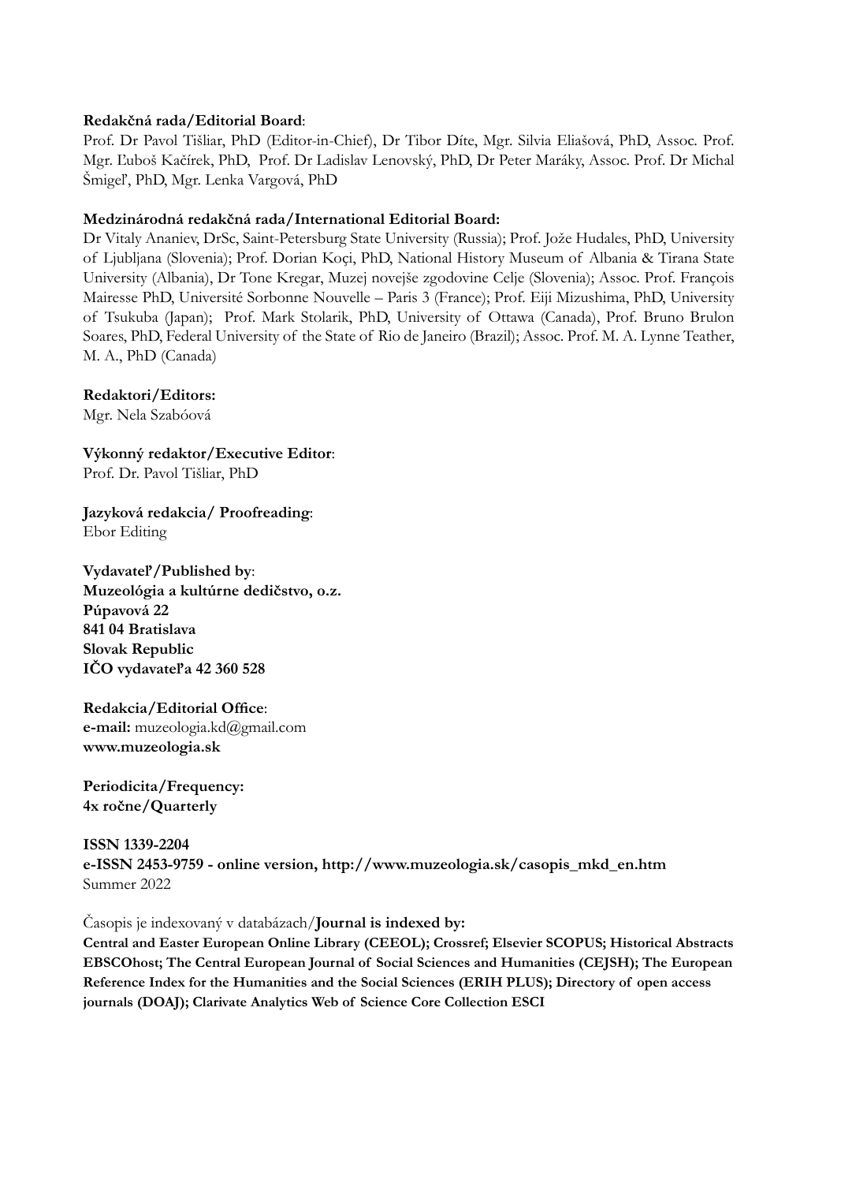#### **Redakčná rada/Editorial Board**:

Prof. Dr Pavol Tišliar, PhD (Editor-in-Chief), Dr Tibor Díte, Mgr. Silvia Eliašová, PhD, Assoc. Prof. Mgr. Ľuboš Kačírek, PhD, Prof. Dr Ladislav Lenovský, PhD, Dr Peter Maráky, Assoc. Prof. Dr Michal Šmigeľ, PhD, Mgr. Lenka Vargová, PhD

#### **Medzinárodná redakčná rada/International Editorial Board:**

Dr Vitaly Ananiev, DrSc, Saint-Petersburg State University (Russia); Prof. Jože Hudales, PhD, University of Ljubljana (Slovenia); Prof. Dorian Koçi, PhD, National History Museum of Albania & Tirana State University (Albania), Dr Tone Kregar, Muzej novejše zgodovine Celje (Slovenia); Assoc. Prof. François Mairesse PhD, Université Sorbonne Nouvelle – Paris 3 (France); Prof. Eiji Mizushima, PhD, University of Tsukuba (Japan); Prof. Mark Stolarik, PhD, University of Ottawa (Canada), Prof. Bruno Brulon Soares, PhD, Federal University of the State of Rio de Janeiro (Brazil); Assoc. Prof. M. A. Lynne Teather, M. A., PhD (Canada)

**Redaktori/Editors:**

Mgr. Nela Szabóová

**Výkonný redaktor/Executive Editor**: Prof. Dr. Pavol Tišliar, PhD

**Jazyková redakcia/ Proofreading**: Ebor Editing

**Vydavateľ/Published by**: **Muzeológia a kultúrne dedičstvo, o.z. Púpavová 22 841 04 Bratislava Slovak Republic IČO vydavateľa 42 360 528**

**Redakcia/Editorial Office**: **e-mail:** muzeologia.kd@gmail.com **www.muzeologia.sk**

**Periodicita/Frequency: 4x ročne/Quarterly** 

**ISSN 1339-2204 e-ISSN 2453-9759 - online version, http://www.muzeologia.sk/casopis\_mkd\_en.htm** Summer 2022

Časopis je indexovaný v databázach/**Journal is indexed by:**

**Central and Easter European Online Library (CEEOL); Crossref; Elsevier SCOPUS; Historical Abstracts EBSCOhost; The Central European Journal of Social Sciences and Humanities (CEJSH); The European Reference Index for the Humanities and the Social Sciences (ERIH PLUS); Directory of open access journals (DOAJ); Clarivate Analytics Web of Science Core Collection ESCI**